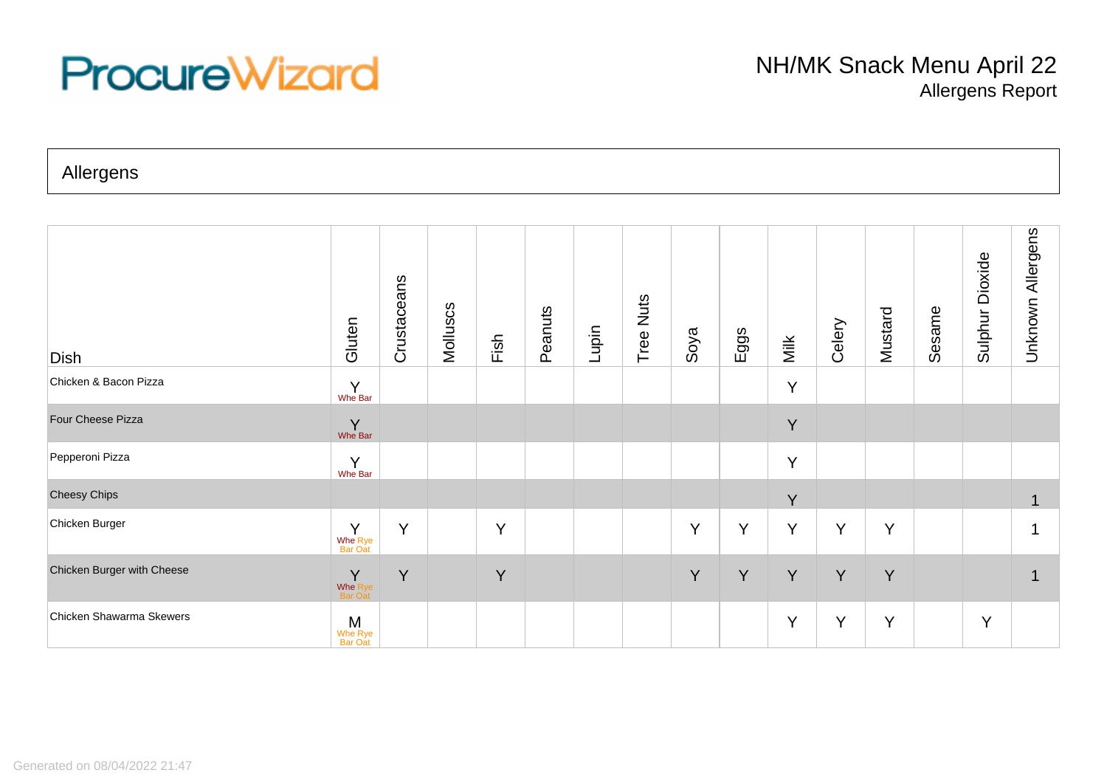## **ProcureWizard**

Allergens

| Dish                       | Gluten                           | Crustaceans | Molluscs | Fish | Peanuts | Lupin | Tree Nuts | Soya | Eggs | Milk | Celery | Mustard | Sesame | Dioxide<br>Sulphur | Allergens<br>Unknown |
|----------------------------|----------------------------------|-------------|----------|------|---------|-------|-----------|------|------|------|--------|---------|--------|--------------------|----------------------|
| Chicken & Bacon Pizza      | Y<br>Whe Bar                     |             |          |      |         |       |           |      |      | Y    |        |         |        |                    |                      |
| Four Cheese Pizza          | $\mathsf{Y}_{\mathsf{Whe\,Bar}}$ |             |          |      |         |       |           |      |      | Y    |        |         |        |                    |                      |
| Pepperoni Pizza            | $\mathsf{Y}$<br>Whe Bar          |             |          |      |         |       |           |      |      | Y    |        |         |        |                    |                      |
| <b>Cheesy Chips</b>        |                                  |             |          |      |         |       |           |      |      | Y    |        |         |        |                    |                      |
| Chicken Burger             | Y<br>Whe Rye<br>Bar Oat          | Y           |          | Y    |         |       |           | Y    | Y    | Y    | Y      | Y       |        |                    |                      |
| Chicken Burger with Cheese | Y<br>Whe Rye<br>Bar Oat          | Y           |          | Y    |         |       |           | Y    | Y    | Y    | Y      | Y       |        |                    |                      |
| Chicken Shawarma Skewers   | M<br>Whe Rye<br>Bar Oat          |             |          |      |         |       |           |      |      | Y    | Y      | Y       |        | Y                  |                      |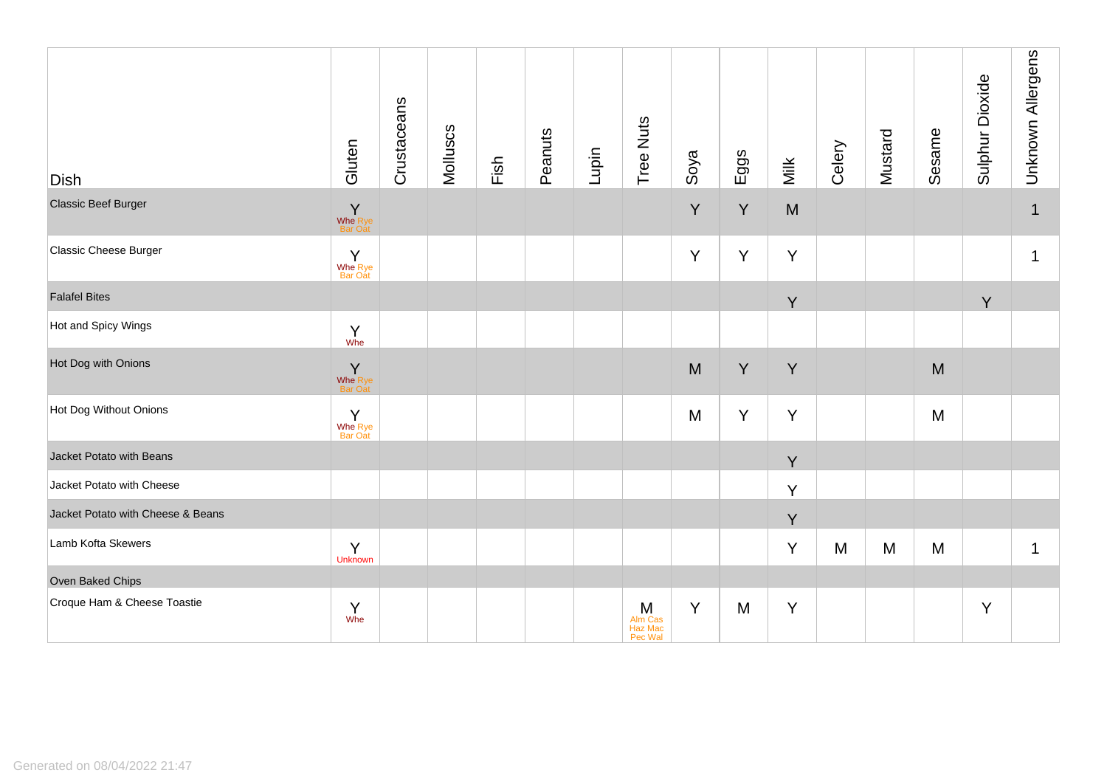| <b>Dish</b>                       | Gluten                                        | Crustaceans | Molluscs | Fish | Peanuts | Lupin | Tree Nuts                            | Soya | Eggs | Milk | Celery | Mustard | Sesame | Sulphur Dioxide | Unknown Allergens |
|-----------------------------------|-----------------------------------------------|-------------|----------|------|---------|-------|--------------------------------------|------|------|------|--------|---------|--------|-----------------|-------------------|
| <b>Classic Beef Burger</b>        | Y<br>Whe Rye<br>Bar Oat                       |             |          |      |         |       |                                      | Y    | Y    | M    |        |         |        |                 | $\mathbf 1$       |
| Classic Cheese Burger             | Y<br>Whe Rye<br>Bar Oat                       |             |          |      |         |       |                                      | Y    | Y    | Y    |        |         |        |                 | $\mathbf 1$       |
| <b>Falafel Bites</b>              |                                               |             |          |      |         |       |                                      |      |      | Y    |        |         |        | Y               |                   |
| Hot and Spicy Wings               | $\begin{matrix} Y \\ \text{Whe} \end{matrix}$ |             |          |      |         |       |                                      |      |      |      |        |         |        |                 |                   |
| Hot Dog with Onions               | Y<br>Whe Rye<br>Bar Oat                       |             |          |      |         |       |                                      | M    | Y    | Y    |        |         | M      |                 |                   |
| Hot Dog Without Onions            | Y<br>Whe Rye<br>Bar Oat                       |             |          |      |         |       |                                      | M    | Y    | Y    |        |         | M      |                 |                   |
| Jacket Potato with Beans          |                                               |             |          |      |         |       |                                      |      |      | Y    |        |         |        |                 |                   |
| Jacket Potato with Cheese         |                                               |             |          |      |         |       |                                      |      |      | Y    |        |         |        |                 |                   |
| Jacket Potato with Cheese & Beans |                                               |             |          |      |         |       |                                      |      |      | Y    |        |         |        |                 |                   |
| Lamb Kofta Skewers                | Y<br><b>Unknown</b>                           |             |          |      |         |       |                                      |      |      | Y    | M      | M       | M      |                 | $\mathbf 1$       |
| Oven Baked Chips                  |                                               |             |          |      |         |       |                                      |      |      |      |        |         |        |                 |                   |
| Croque Ham & Cheese Toastie       | Y<br>Whe                                      |             |          |      |         |       | $M$<br>Alm Cas<br>Haz Mac<br>Pec Wal | Y    | M    | Y    |        |         |        | Y               |                   |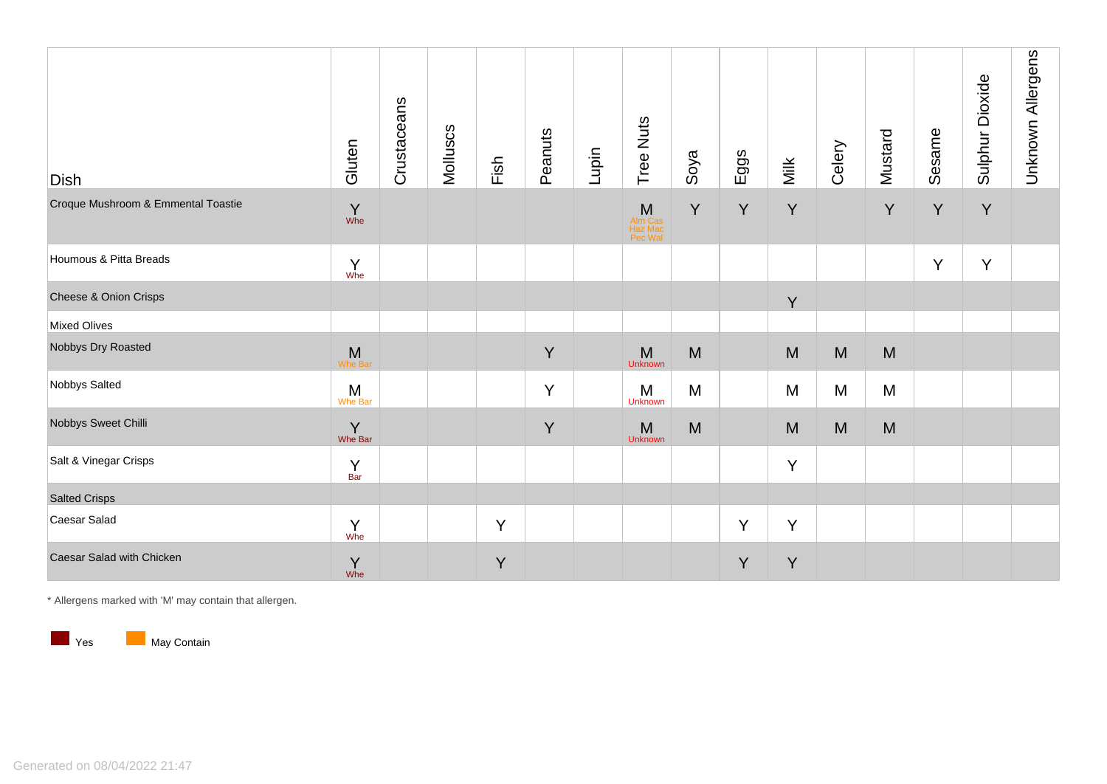| <b>Dish</b>                        | Gluten                      | Crustaceans | Molluscs | Fish | Peanuts | Lupin | Tree Nuts                          | Soya | Eggs | Milk | Celery | Mustard | Sesame | Sulphur Dioxide | Unknown Allergens |
|------------------------------------|-----------------------------|-------------|----------|------|---------|-------|------------------------------------|------|------|------|--------|---------|--------|-----------------|-------------------|
| Croque Mushroom & Emmental Toastie | $\Upsilon$<br>Whe           |             |          |      |         |       | M<br>Alm Cas<br>Haz Mac<br>Pec Wal | Y    | Y    | Y    |        | Y       | Y      | Y               |                   |
| Houmous & Pitta Breads             | $Y$ whe                     |             |          |      |         |       |                                    |      |      |      |        |         | Y      | Y               |                   |
| Cheese & Onion Crisps              |                             |             |          |      |         |       |                                    |      |      | Y    |        |         |        |                 |                   |
| <b>Mixed Olives</b>                |                             |             |          |      |         |       |                                    |      |      |      |        |         |        |                 |                   |
| Nobbys Dry Roasted                 | ${\sf M}$<br><b>Whe Bar</b> |             |          |      | Y       |       | M<br><b>Unknown</b>                | M    |      | M    | M      | M       |        |                 |                   |
| Nobbys Salted                      | $M$<br>Whe Bar              |             |          |      | Y       |       | M<br>Unknown                       | M    |      | M    | M      | M       |        |                 |                   |
| Nobbys Sweet Chilli                | $\sum_{\text{Whe Bar}}$     |             |          |      | Y       |       | M<br><b>Unknown</b>                | M    |      | M    | M      | M       |        |                 |                   |
| Salt & Vinegar Crisps              | $\frac{Y}{Bar}$             |             |          |      |         |       |                                    |      |      | Y    |        |         |        |                 |                   |
| <b>Salted Crisps</b>               |                             |             |          |      |         |       |                                    |      |      |      |        |         |        |                 |                   |
| Caesar Salad                       | $Y$ whe                     |             |          | Y    |         |       |                                    |      | Y    | Y    |        |         |        |                 |                   |
| Caesar Salad with Chicken          | Y<br>Whe                    |             |          | Y    |         |       |                                    |      | Y    | Y    |        |         |        |                 |                   |

\* Allergens marked with 'M' may contain that allergen.